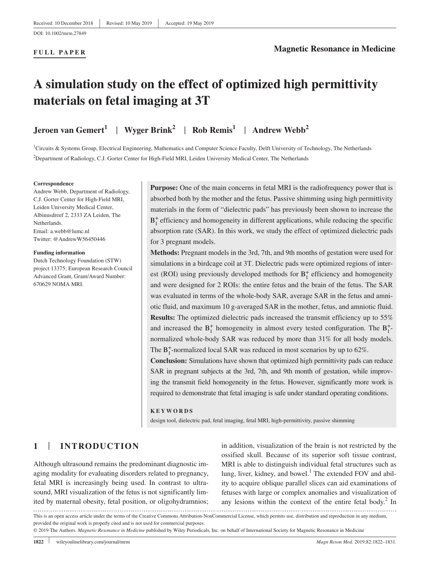### **FULL PAPER**

# **A simulation study on the effect of optimized high permittivity materials on fetal imaging at 3T**

**Jeroen van Gemert<sup>1</sup> | Wyger Brink<sup>2</sup> | Rob Remis<sup>1</sup> | Andrew Webb<sup>2</sup>** 

<sup>1</sup>Circuits & Systems Group, Electrical Engineering, Mathematics and Computer Science Faculty, Delft University of Technology, The Netherlands 2 Department of Radiology, C.J. Gorter Center for High‐Field MRI, Leiden University Medical Center, The Netherlands

### **Correspondence**

Andrew Webb, Department of Radiology, C.J. Gorter Center for High‐Field MRI, Leiden University Medical Center, Albinusdreef 2, 2333 ZA Leiden, The Netherlands. Email: [a.webb@lumc.nl](mailto:a.webb@lumc.nl) Twitter: [@AndrewW56450446](https://twitter.com/AndrewW56450446)

#### **Funding information**

Dutch Technology Foundation (STW) project 13375; European Research Council Advanced Grant, Grant/Award Number: 670629 NOMA MRI.

**Purpose:** One of the main concerns in fetal MRI is the radiofrequency power that is absorbed both by the mother and the fetus. Passive shimming using high permittivity materials in the form of "dielectric pads" has previously been shown to increase the B<sup>+</sup> efficiency and homogeneity in different applications, while reducing the specific absorption rate (SAR). In this work, we study the effect of optimized dielectric pads for 3 pregnant models.

**Methods:** Pregnant models in the 3rd, 7th, and 9th months of gestation were used for simulations in a birdcage coil at 3T. Dielectric pads were optimized regions of interest (ROI) using previously developed methods for  $B_1^+$  efficiency and homogeneity and were designed for 2 ROIs: the entire fetus and the brain of the fetus. The SAR was evaluated in terms of the whole-body SAR, average SAR in the fetus and amniotic fluid, and maximum 10 g‐averaged SAR in the mother, fetus, and amniotic fluid. **Results:** The optimized dielectric pads increased the transmit efficiency up to 55% and increased the  $B_1^+$  homogeneity in almost every tested configuration. The  $B_1^+$ normalized whole‐body SAR was reduced by more than 31% for all body models. The  $B_1^+$ -normalized local SAR was reduced in most scenarios by up to 62%.

**Conclusion:** Simulations have shown that optimized high permittivity pads can reduce SAR in pregnant subjects at the 3rd, 7th, and 9th month of gestation, while improving the transmit field homogeneity in the fetus. However, significantly more work is required to demonstrate that fetal imaging is safe under standard operating conditions.

#### **KEYWORDS**

design tool, dielectric pad, fetal imaging, fetal MRI, high‐permittivity, passive shimming

# **1** | **INTRODUCTION**

Although ultrasound remains the predominant diagnostic imaging modality for evaluating disorders related to pregnancy, fetal MRI is increasingly being used. In contrast to ultrasound, MRI visualization of the fetus is not significantly limited by maternal obesity, fetal position, or oligohydramnios; in addition, visualization of the brain is not restricted by the ossified skull. Because of its superior soft tissue contrast, MRI is able to distinguish individual fetal structures such as lung, liver, kidney, and bowel.<sup>1</sup> The extended FOV and ability to acquire oblique parallel slices can aid examinations of fetuses with large or complex anomalies and visualization of any lesions within the context of the entire fetal body. $2 \text{ In }$ 

This is an open access article under the terms of the Creative Commons Attribution-NonCommercial License, which permits use, distribution and reproduction in any medium, provided the original work is properly cited and is not used for commercial purposes.

© 2019 The Authors. *Magnetic Resonance in Medicine* published by Wiley Periodicals, Inc. on behalf of International Society for Magnetic Resonance in Medicine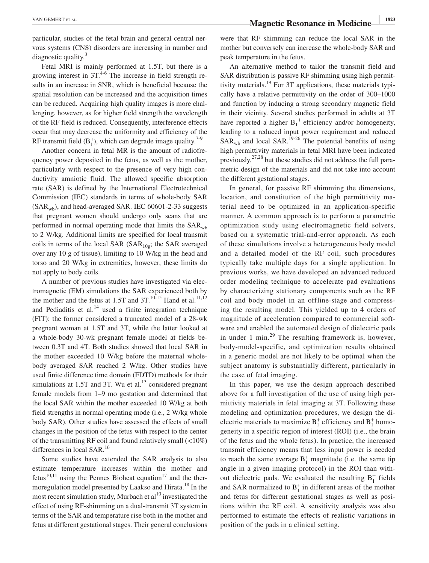VAN GEMERT ET AL. 1823<br>**Magnetic Resonance in Medicine** 

particular, studies of the fetal brain and general central nervous systems (CNS) disorders are increasing in number and diagnostic quality.<sup>3</sup>

Fetal MRI is mainly performed at 1.5T, but there is a growing interest in  $3T<sup>4-6</sup>$ . The increase in field strength results in an increase in SNR, which is beneficial because the spatial resolution can be increased and the acquisition times can be reduced. Acquiring high quality images is more challenging, however, as for higher field strength the wavelength of the RF field is reduced. Consequently, interference effects occur that may decrease the uniformity and efficiency of the RF transmit field  $(B_1^+)$ , which can degrade image quality.<sup>7-9</sup>

Another concern in fetal MR is the amount of radiofrequency power deposited in the fetus, as well as the mother, particularly with respect to the presence of very high conductivity amniotic fluid. The allowed specific absorption rate (SAR) is defined by the International Electrotechnical Commission (IEC) standards in terms of whole‐body SAR  $(SAR<sub>wh</sub>)$ , and head-averaged SAR. IEC 60601-2-33 suggests that pregnant women should undergo only scans that are performed in normal operating mode that limits the SAR<sub>wb</sub> to 2 W/kg. Additional limits are specified for local transmit coils in terms of the local SAR (SAR<sub>10g</sub>; the SAR averaged over any 10 g of tissue), limiting to 10 W/kg in the head and torso and 20 W/kg in extremities, however, these limits do not apply to body coils.

A number of previous studies have investigated via electromagnetic (EM) simulations the SAR experienced both by the mother and the fetus at 1.5T and 3T.<sup>10-15</sup> Hand et al.<sup>11,12</sup> and Pediaditis et al. $^{14}$  used a finite integration technique (FIT): the former considered a truncated model of a 28‐wk pregnant woman at 1.5T and 3T, while the latter looked at a whole‐body 30‐wk pregnant female model at fields between 0.3T and 4T. Both studies showed that local SAR in the mother exceeded 10 W/kg before the maternal wholebody averaged SAR reached 2 W/kg. Other studies have used finite difference time domain (FDTD) methods for their simulations at 1.5T and 3T. Wu et al. $^{13}$  considered pregnant female models from 1–9 mo gestation and determined that the local SAR within the mother exceeded 10 W/kg at both field strengths in normal operating mode (i.e., 2 W/kg whole body SAR). Other studies have assessed the effects of small changes in the position of the fetus with respect to the center of the transmitting RF coil and found relatively small (<10%) differences in local SAR.<sup>16</sup>

Some studies have extended the SAR analysis to also estimate temperature increases within the mother and fetus<sup>10,11</sup> using the Pennes Bioheat equation<sup>17</sup> and the thermoregulation model presented by Laakso and Hirata.<sup>18</sup> In the most recent simulation study, Murbach et  $al<sup>10</sup>$  investigated the effect of using RF‐shimming on a dual‐transmit 3T system in terms of the SAR and temperature rise both in the mother and fetus at different gestational stages. Their general conclusions were that RF shimming can reduce the local SAR in the mother but conversely can increase the whole‐body SAR and peak temperature in the fetus.

An alternative method to tailor the transmit field and SAR distribution is passive RF shimming using high permittivity materials.<sup>19</sup> For 3T applications, these materials typically have a relative permittivity on the order of 300–1000 and function by inducing a strong secondary magnetic field in their vicinity. Several studies performed in adults at 3T have reported a higher  $B_1^+$  efficiency and/or homogeneity, leading to a reduced input power requirement and reduced  $SAR_{wh}$  and local  $SAR$ .<sup>19-26</sup> The potential benefits of using high permittivity materials in fetal MRI have been indicated previously,  $27.28$  but these studies did not address the full parametric design of the materials and did not take into account the different gestational stages.

In general, for passive RF shimming the dimensions, location, and constitution of the high permittivity material need to be optimized in an application‐specific manner. A common approach is to perform a parametric optimization study using electromagnetic field solvers, based on a systematic trial‐and‐error approach. As each of these simulations involve a heterogeneous body model and a detailed model of the RF coil, such procedures typically take multiple days for a single application. In previous works, we have developed an advanced reduced order modeling technique to accelerate pad evaluations by characterizing stationary components such as the RF coil and body model in an offline‐stage and compressing the resulting model. This yielded up to 4 orders of magnitude of acceleration compared to commercial software and enabled the automated design of dielectric pads in under 1 min.<sup>29</sup> The resulting framework is, however, body‐model‐specific, and optimization results obtained in a generic model are not likely to be optimal when the subject anatomy is substantially different, particularly in the case of fetal imaging.

In this paper, we use the design approach described above for a full investigation of the use of using high permittivity materials in fetal imaging at 3T. Following these modeling and optimization procedures, we design the dielectric materials to maximize  $B_1^+$  efficiency and  $B_1^+$  homogeneity in a specific region of interest (ROI) (i.e., the brain of the fetus and the whole fetus). In practice, the increased transmit efficiency means that less input power is needed to reach the same average  $B_1^+$  magnitude (i.e. the same tip angle in a given imaging protocol) in the ROI than without dielectric pads. We evaluated the resulting  $B_1^+$  fields and SAR normalized to  $B_1^+$  in different areas of the mother and fetus for different gestational stages as well as positions within the RF coil. A sensitivity analysis was also performed to estimate the effects of realistic variations in position of the pads in a clinical setting.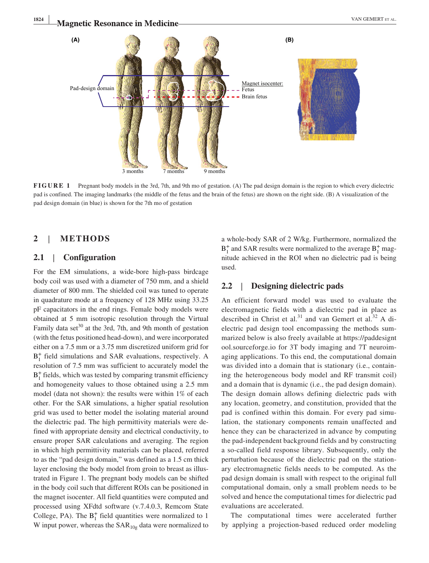

**FIGURE 1** Pregnant body models in the 3rd, 7th, and 9th mo of gestation. (A) The pad design domain is the region to which every dielectric pad is confined. The imaging landmarks (the middle of the fetus and the brain of the fetus) are shown on the right side. (B) A visualization of the pad design domain (in blue) is shown for the 7th mo of gestation

# **2** | **METHODS**

### **2.1** | **Configuration**

For the EM simulations, a wide‐bore high‐pass birdcage body coil was used with a diameter of 750 mm, and a shield diameter of 800 mm. The shielded coil was tuned to operate in quadrature mode at a frequency of 128 MHz using 33.25 pF capacitators in the end rings. Female body models were obtained at 5 mm isotropic resolution through the Virtual Family data set $30$  at the 3rd, 7th, and 9th month of gestation (with the fetus positioned head‐down), and were incorporated either on a 7.5 mm or a 3.75 mm discretized uniform grid for B+ <sup>1</sup> field simulations and SAR evaluations, respectively. A resolution of 7.5 mm was sufficient to accurately model the  $B_1^+$  fields, which was tested by comparing transmit efficiency and homogeneity values to those obtained using a 2.5 mm model (data not shown): the results were within 1% of each other. For the SAR simulations, a higher spatial resolution grid was used to better model the isolating material around the dielectric pad. The high permittivity materials were defined with appropriate density and electrical conductivity, to ensure proper SAR calculations and averaging. The region in which high permittivity materials can be placed, referred to as the "pad design domain," was defined as a 1.5 cm thick layer enclosing the body model from groin to breast as illustrated in Figure 1. The pregnant body models can be shifted in the body coil such that different ROIs can be positioned in the magnet isocenter. All field quantities were computed and processed using XFdtd software (v.7.4.0.3, Remcom State College, PA). The  $B_1^+$  field quantities were normalized to 1 W input power, whereas the  $SAR_{10g}$  data were normalized to

a whole‐body SAR of 2 W/kg. Furthermore, normalized the  $B_1^+$  and SAR results were normalized to the average  $B_1^+$  magnitude achieved in the ROI when no dielectric pad is being used.

## **2.2** | **Designing dielectric pads**

An efficient forward model was used to evaluate the electromagnetic fields with a dielectric pad in place as described in Christ et al.<sup>31</sup> and van Gemert et al.<sup>32</sup> A dielectric pad design tool encompassing the methods summarized below is also freely available at [https://paddesignt](https://paddesigntool.sourceforge.io) [ool.sourceforge.io](https://paddesigntool.sourceforge.io) for 3T body imaging and 7T neuroimaging applications. To this end, the computational domain was divided into a domain that is stationary (i.e., containing the heterogeneous body model and RF transmit coil) and a domain that is dynamic (i.e., the pad design domain). The design domain allows defining dielectric pads with any location, geometry, and constitution, provided that the pad is confined within this domain. For every pad simulation, the stationary components remain unaffected and hence they can be characterized in advance by computing the pad‐independent background fields and by constructing a so‐called field response library. Subsequently, only the perturbation because of the dielectric pad on the stationary electromagnetic fields needs to be computed. As the pad design domain is small with respect to the original full computational domain, only a small problem needs to be solved and hence the computational times for dielectric pad evaluations are accelerated.

The computational times were accelerated further by applying a projection‐based reduced order modeling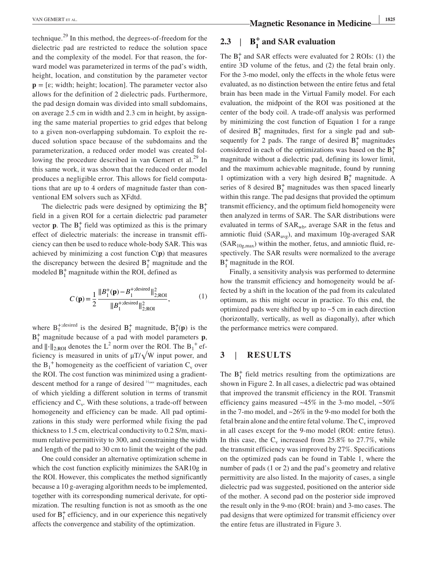technique.29 In this method, the degrees‐of‐freedom for the dielectric pad are restricted to reduce the solution space and the complexity of the model. For that reason, the forward model was parameterized in terms of the pad's width, height, location, and constitution by the parameter vector  $\mathbf{p} = [\varepsilon; \text{width}; \text{height}; \text{location}]$ . The parameter vector also allows for the definition of 2 dielectric pads. Furthermore, the pad design domain was divided into small subdomains, on average 2.5 cm in width and 2.3 cm in height, by assigning the same material properties to grid edges that belong to a given non‐overlapping subdomain. To exploit the reduced solution space because of the subdomains and the parameterization, a reduced order model was created following the procedure described in van Gemert et al.<sup>29</sup> In this same work, it was shown that the reduced order model produces a negligible error. This allows for field computations that are up to 4 orders of magnitude faster than conventional EM solvers such as XFdtd.

The dielectric pads were designed by optimizing the  $B_1^+$ field in a given ROI for a certain dielectric pad parameter vector **p**. The  $B_1^+$  field was optimized as this is the primary effect of dielectric materials: the increase in transmit efficiency can then be used to reduce whole‐body SAR. This was achieved by minimizing a cost function C(**p**) that measures the discrepancy between the desired  $B_1^+$  magnitude and the modeled  $B_1^+$  magnitude within the ROI, defined as

$$
C(\mathbf{p}) = \frac{1}{2} \frac{\|B_1^+(\mathbf{p}) - B_1^{+;desired}\|_{2;ROI}^2}{\|B_1^{+;desired}\|_{2;ROI}^2},
$$
 (1)

where  $B_1^{+, desired}$  is the desired  $B_1^+$  magnitude,  $B_1^+(p)$  is the  $B_1^+$  magnitude because of a pad with model parameters **p**, and  $\|\cdot\|_{2;\text{ROI}}$  denotes the L<sup>2</sup> norm over the ROI. The B<sub>1</sub><sup>+</sup> efficiency is measured in units of  $\mu$ T/ $\sqrt{W}$  input power, and the  $B_1$ <sup>+</sup> homogeneity as the coefficient of variation  $C_v$  over the ROI. The cost function was minimized using a gradient‐ descent method for a range of desired <sup>|</sup><sup>1</sup>2;ROI</sup> magnitudes, each of which yielding a different solution in terms of transmit efficiency and  $C_v$ . With these solutions, a trade-off between homogeneity and efficiency can be made. All pad optimizations in this study were performed while fixing the pad thickness to 1.5 cm, electrical conductivity to 0.2 S/m, maximum relative permittivity to 300, and constraining the width and length of the pad to 30 cm to limit the weight of the pad.

One could consider an alternative optimization scheme in which the cost function explicitly minimizes the SAR10g in the ROI. However, this complicates the method significantly because a 10 g‐averaging algorithm needs to be implemented, together with its corresponding numerical derivate, for optimization. The resulting function is not as smooth as the one used for  $B_1^+$  efficiency, and in our experience this negatively affects the convergence and stability of the optimization.

**TAN GEMERT ET AL. 1825**<br>**Magnetic Resonance in Medicine** 

# **2.3**  $\vert$  **B**<sup>+</sup></sup><sub>**1**</sub> and SAR evaluation

The  $B_1^+$  and SAR effects were evaluated for 2 ROIs: (1) the entire 3D volume of the fetus, and (2) the fetal brain only. For the 3‐mo model, only the effects in the whole fetus were evaluated, as no distinction between the entire fetus and fetal brain has been made in the Virtual Family model. For each evaluation, the midpoint of the ROI was positioned at the center of the body coil. A trade‐off analysis was performed by minimizing the cost function of Equation 1 for a range of desired  $B_1^+$  magnitudes, first for a single pad and subsequently for 2 pads. The range of desired  $B_1^+$  magnitudes considered in each of the optimizations was based on the  $B_1^+$ magnitude without a dielectric pad, defining its lower limit, and the maximum achievable magnitude, found by running 1 optimization with a very high desired  $B_1^+$  magnitude. A series of 8 desired  $B_1^+$  magnitudes was then spaced linearly within this range. The pad designs that provided the optimum transmit efficiency, and the optimum field homogeneity were then analyzed in terms of SAR. The SAR distributions were evaluated in terms of  $SAR_{wb}$ , average SAR in the fetus and amniotic fluid ( $SAR_{avg}$ ), and maximum 10g-averaged  $SAR$  $(SAR<sub>10g,max</sub>)$  within the mother, fetus, and amniotic fluid, respectively. The SAR results were normalized to the average  $B_1^+$  magnitude in the ROI.

Finally, a sensitivity analysis was performed to determine how the transmit efficiency and homogeneity would be affected by a shift in the location of the pad from its calculated optimum, as this might occur in practice. To this end, the optimized pads were shifted by up to  $\sim$  5 cm in each direction (horizontally, vertically, as well as diagonally), after which the performance metrics were compared.

## **3** | **RESULTS**

The  $B_1^+$  field metrics resulting from the optimizations are shown in Figure 2. In all cases, a dielectric pad was obtained that improved the transmit efficiency in the ROI. Transmit efficiency gains measured  $~45\%$  in the 3-mo model,  $~50\%$ in the 7-mo model, and  $\sim 26\%$  in the 9-mo model for both the fetal brain alone and the entire fetal volume. The  $C_v$  improved in all cases except for the 9‐mo model (ROI: entire fetus). In this case, the  $C_v$  increased from 25.8% to 27.7%, while the transmit efficiency was improved by 27%. Specifications on the optimized pads can be found in Table 1, where the number of pads (1 or 2) and the pad's geometry and relative permittivity are also listed. In the majority of cases, a single dielectric pad was suggested, positioned on the anterior side of the mother. A second pad on the posterior side improved the result only in the 9‐mo (ROI: brain) and 3‐mo cases. The pad designs that were optimized for transmit efficiency over the entire fetus are illustrated in Figure 3.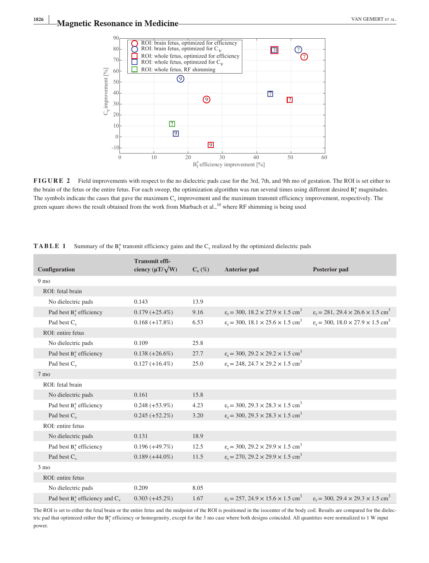

**FIGURE 2** Field improvements with respect to the no dielectric pads case for the 3rd, 7th, and 9th mo of gestation. The ROI is set either to the brain of the fetus or the entire fetus. For each sweep, the optimization algorithm was run several times using different desired  $B_1^+$  magnitudes. The symbols indicate the cases that gave the maximum  $C_v$  improvement and the maximum transmit efficiency improvement, respectively. The green square shows the result obtained from the work from Murbach et al.,<sup>10</sup> where RF shimming is being used

| Configuration                         | <b>Transmit effi-</b><br>ciency $(\mu T/\sqrt{W})$ | $C_{v}(\%)$ | <b>Anterior pad</b>                                                    | <b>Posterior pad</b>                                                   |
|---------------------------------------|----------------------------------------------------|-------------|------------------------------------------------------------------------|------------------------------------------------------------------------|
| 9 <sub>mo</sub>                       |                                                    |             |                                                                        |                                                                        |
| ROI: fetal brain                      |                                                    |             |                                                                        |                                                                        |
| No dielectric pads                    | 0.143                                              | 13.9        |                                                                        |                                                                        |
| Pad best $B_1^+$ efficiency           | $0.179 (+25.4\%)$                                  | 9.16        | $\varepsilon_r$ = 300, 18.2 × 27.9 × 1.5 cm <sup>3</sup>               | $\varepsilon_r$ = 281, 29.4 $\times$ 26.6 $\times$ 1.5 cm <sup>3</sup> |
| Pad best $C_v$                        | $0.168 (+17.8%)$                                   | 6.53        | $\varepsilon_r$ = 300, 18.1 × 25.6 × 1.5 cm <sup>3</sup>               | $\varepsilon_r$ = 300, 18.0 × 27.9 × 1.5 cm <sup>3</sup>               |
| ROI: entire fetus                     |                                                    |             |                                                                        |                                                                        |
| No dielectric pads                    | 0.109                                              | 25.8        |                                                                        |                                                                        |
| Pad best $B_1^+$ efficiency           | $0.138 (+26.6\%)$                                  | 27.7        | $\varepsilon_r$ = 300, 29.2 × 29.2 × 1.5 cm <sup>3</sup>               |                                                                        |
| Pad best $C_v$                        | $0.127 (+16.4\%)$                                  | 25.0        | $\varepsilon_r$ = 248, 24.7 $\times$ 29.2 $\times$ 1.5 cm <sup>3</sup> |                                                                        |
| 7 mo                                  |                                                    |             |                                                                        |                                                                        |
| ROI: fetal brain                      |                                                    |             |                                                                        |                                                                        |
| No dielectric pads                    | 0.161                                              | 15.8        |                                                                        |                                                                        |
| Pad best $B_1^+$ efficiency           | $0.248 (+53.9\%)$                                  | 4.23        | $\varepsilon_r$ = 300, 29.3 × 28.3 × 1.5 cm <sup>3</sup>               |                                                                        |
| Pad best $C_v$                        | $0.245 (+52.2\%)$                                  | 3.20        | $\varepsilon_r$ = 300, 29.3 × 28.3 × 1.5 cm <sup>3</sup>               |                                                                        |
| ROI: entire fetus                     |                                                    |             |                                                                        |                                                                        |
| No dielectric pads                    | 0.131                                              | 18.9        |                                                                        |                                                                        |
| Pad best $B_1^+$ efficiency           | $0.196 (+49.7%)$                                   | 12.5        | $\varepsilon_r$ = 300, 29.2 × 29.9 × 1.5 cm <sup>3</sup>               |                                                                        |
| Pad best $C_v$                        | $0.189 (+44.0\%)$                                  | 11.5        | $\varepsilon_r$ = 270, 29.2 × 29.9 × 1.5 cm <sup>3</sup>               |                                                                        |
| $3 \text{ mo}$                        |                                                    |             |                                                                        |                                                                        |
| ROI: entire fetus                     |                                                    |             |                                                                        |                                                                        |
| No dielectric pads                    | 0.209                                              | 8.05        |                                                                        |                                                                        |
| Pad best $B_1^+$ efficiency and $C_v$ | $0.303 (+45.2\%)$                                  | 1.67        | $\varepsilon_r$ = 257, 24.9 $\times$ 15.6 $\times$ 1.5 cm <sup>3</sup> | $\varepsilon_r$ = 300, 29.4 $\times$ 29.3 $\times$ 1.5 cm <sup>3</sup> |

**TABLE 1** Summary of the  $B_1^+$  transmit efficiency gains and the C<sub>v</sub> realized by the optimized dielectric pads

The ROI is set to either the fetal brain or the entire fetus and the midpoint of the ROI is positioned in the isocenter of the body coil. Results are compared for the dielectric pad that optimized either the  $B_1^+$  efficiency or homogeneity, except for the 3 mo case where both designs coincided. All quantities were normalized to 1 W input power.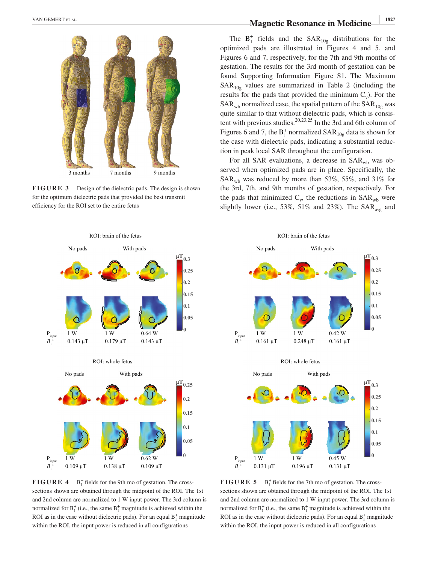

**FIGURE 3** Design of the dielectric pads. The design is shown for the optimum dielectric pads that provided the best transmit efficiency for the ROI set to the entire fetus

# **TAN GEMERT ET AL. 1827**<br>**Magnetic Resonance in Medicine**

The  $B_1^+$  fields and the  $SAR_{10g}$  distributions for the optimized pads are illustrated in Figures 4 and 5, and Figures 6 and 7, respectively, for the 7th and 9th months of gestation. The results for the 3rd month of gestation can be found Supporting Information Figure S1. The Maximum  $SAR<sub>10g</sub>$  values are summarized in Table 2 (including the results for the pads that provided the minimum  $C_v$ ). For the  $SAR_{wb}$  normalized case, the spatial pattern of the  $SAR_{10g}$  was quite similar to that without dielectric pads, which is consistent with previous studies.<sup>20,23,25</sup> In the 3rd and 6th column of Figures 6 and 7, the  $B_1^+$  normalized  $SAR_{10g}$  data is shown for the case with dielectric pads, indicating a substantial reduction in peak local SAR throughout the configuration.

For all SAR evaluations, a decrease in  $SAR_{wb}$  was observed when optimized pads are in place. Specifically, the  $SAR<sub>wb</sub>$  was reduced by more than 53%, 55%, and 31% for the 3rd, 7th, and 9th months of gestation, respectively. For the pads that minimized  $C_v$ , the reductions in  $SAR_{wb}$  were slightly lower (i.e., 53%, 51% and 23%). The  $SAR_{avg}$  and



**FIGURE 4**  $B_1^+$  fields for the 9th mo of gestation. The crosssections shown are obtained through the midpoint of the ROI. The 1st and 2nd column are normalized to 1 W input power. The 3rd column is normalized for  $B_1^+$  (i.e., the same  $B_1^+$  magnitude is achieved within the ROI as in the case without dielectric pads). For an equal  $B_1^+$  magnitude within the ROI, the input power is reduced in all configurations



**FIGURE 5** B<sup>+</sup><sub>1</sub> fields for the 7th mo of gestation. The crosssections shown are obtained through the midpoint of the ROI. The 1st and 2nd column are normalized to 1 W input power. The 3rd column is normalized for  $B_1^+$  (i.e., the same  $B_1^+$  magnitude is achieved within the ROI as in the case without dielectric pads). For an equal  $B_1^+$  magnitude within the ROI, the input power is reduced in all configurations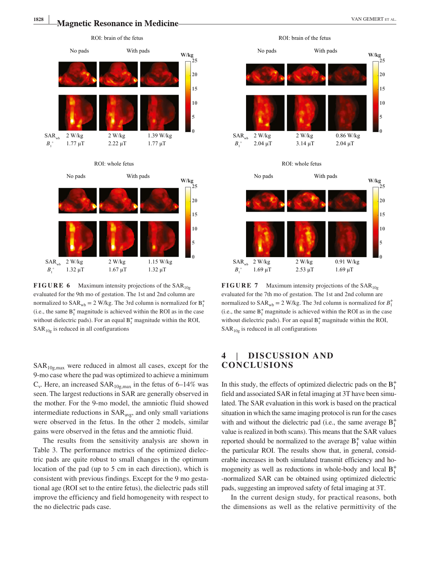

**FIGURE 6** Maximum intensity projections of the  $SAR_{10g}$ evaluated for the 9th mo of gestation. The 1st and 2nd column are normalized to  $SAR_{wb} = 2$  W/kg. The 3rd column is normalized for  $B_1^+$ (i.e., the same  $B_1^+$  magnitude is achieved within the ROI as in the case without dielectric pads). For an equal  $B_1^+$  magnitude within the ROI,  $SAR<sub>10g</sub>$  is reduced in all configurations

 $SAR<sub>10g,max</sub>$  were reduced in almost all cases, except for the 9‐mo case where the pad was optimized to achieve a minimum  $C_v$ . Here, an increased SAR<sub>10g,max</sub> in the fetus of 6–14% was seen. The largest reductions in SAR are generally observed in the mother. For the 9‐mo model, the amniotic fluid showed intermediate reductions in SAR<sub>avg</sub>, and only small variations were observed in the fetus. In the other 2 models, similar gains were observed in the fetus and the amniotic fluid.

The results from the sensitivity analysis are shown in Table 3. The performance metrics of the optimized dielectric pads are quite robust to small changes in the optimum location of the pad (up to 5 cm in each direction), which is consistent with previous findings. Except for the 9 mo gestational age (ROI set to the entire fetus), the dielectric pads still improve the efficiency and field homogeneity with respect to the no dielectric pads case.



**FIGURE 7** Maximum intensity projections of the  $SAR_{10g}$ evaluated for the 7th mo of gestation. The 1st and 2nd column are normalized to  $SAR_{wb} = 2$  W/kg. The 3rd column is normalized for  $B_1^+$ (i.e., the same  $B_1^+$  magnitude is achieved within the ROI as in the case without dielectric pads). For an equal  $B_1^+$  magnitude within the ROI,  $SAR<sub>10g</sub>$  is reduced in all configurations

# **4** | **DISCUSSION AND CONCLUSIONS**

In this study, the effects of optimized dielectric pads on the  $B_1^+$ field and associated SAR in fetal imaging at 3T have been simulated. The SAR evaluation in this work is based on the practical situation in which the same imaging protocol is run for the cases with and without the dielectric pad (i.e., the same average  $B_1^+$ value is realized in both scans). This means that the SAR values reported should be normalized to the average  $B_1^+$  value within the particular ROI. The results show that, in general, considerable increases in both simulated transmit efficiency and homogeneity as well as reductions in whole-body and local  $B_1^+$ ‐normalized SAR can be obtained using optimized dielectric pads, suggesting an improved safety of fetal imaging at 3T.

In the current design study, for practical reasons, both the dimensions as well as the relative permittivity of the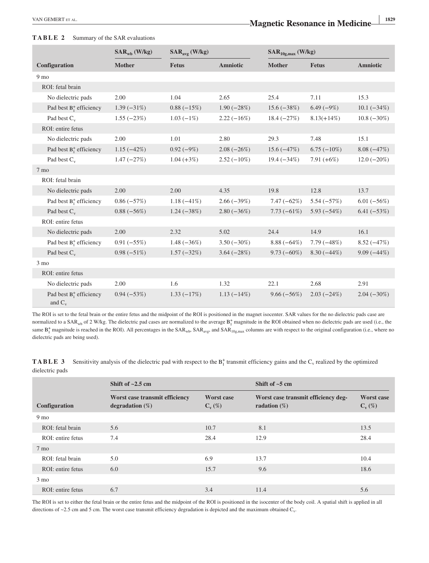### **TABLE 2** Summary of the SAR evaluations

|                                          | $SAR_{wh}$ (W/kg) | $SAR_{avg}$ (W/kg) |                 | $SAR10g,max$ (W/kg) |               |                 |
|------------------------------------------|-------------------|--------------------|-----------------|---------------------|---------------|-----------------|
| Configuration                            | <b>Mother</b>     | <b>Fetus</b>       | <b>Amniotic</b> | <b>Mother</b>       | <b>Fetus</b>  | <b>Amniotic</b> |
| 9 <sub>mo</sub>                          |                   |                    |                 |                     |               |                 |
| ROI: fetal brain                         |                   |                    |                 |                     |               |                 |
| No dielectric pads                       | 2.00              | 1.04               | 2.65            | 25.4                | 7.11          | 15.3            |
| Pad best $B_1^+$ efficiency              | $1.39(-31%)$      | $0.88 (-15%)$      | $1.90(-28%)$    | $15.6(-38%)$        | $6.49(-9%)$   | $10.1 (-34%)$   |
| Pad best $C_v$                           | $1.55(-23%)$      | $1.03(-1%)$        | $2.22(-16%)$    | $18.4 (-27%)$       | $8.13(+14\%)$ | $10.8(-30\%)$   |
| ROI: entire fetus                        |                   |                    |                 |                     |               |                 |
| No dielectric pads                       | 2.00              | 1.01               | 2.80            | 29.3                | 7.48          | 15.1            |
| Pad best $B_1^+$ efficiency              | $1.15(-42%)$      | $0.92(-9%)$        | $2.08(-26%)$    | $15.6(-47%)$        | $6.75(-10\%)$ | $8.08(-47%)$    |
| Pad best $C_v$                           | $1.47(-27%)$      | $1.04 (+3%)$       | $2.52(-10\%)$   | $19.4 (-34%)$       | 7.91 $(+6%)$  | $12.0(-20\%)$   |
| 7 <sub>mo</sub>                          |                   |                    |                 |                     |               |                 |
| ROI: fetal brain                         |                   |                    |                 |                     |               |                 |
| No dielectric pads                       | 2.00              | 2.00               | 4.35            | 19.8                | 12.8          | 13.7            |
| Pad best $B_1^+$ efficiency              | $0.86(-57%)$      | $1.18(-41\%)$      | $2.66(-39%)$    | $7.47(-62%)$        | $5.54(-57%)$  | $6.01(-56%)$    |
| Pad best $C_v$                           | $0.88(-56%)$      | $1.24(-38%)$       | $2.80(-36%)$    | $7.73(-61%)$        | $5.93(-54%)$  | $6.41 (-53%)$   |
| ROI: entire fetus                        |                   |                    |                 |                     |               |                 |
| No dielectric pads                       | 2.00              | 2.32               | 5.02            | 24.4                | 14.9          | 16.1            |
| Pad best $B_1^+$ efficiency              | $0.91 (-55%)$     | $1.48(-36%)$       | $3.50(-30\%)$   | $8.88(-64%)$        | $7.79(-48%)$  | $8.52(-47%)$    |
| Pad best $C_v$                           | $0.98 (-51%)$     | $1.57(-32%)$       | $3.64 (-28%)$   | $9.73(-60%)$        | $8.30(-44%)$  | $9.09(-44%)$    |
| $3 \text{ mo}$                           |                   |                    |                 |                     |               |                 |
| ROI: entire fetus                        |                   |                    |                 |                     |               |                 |
| No dielectric pads                       | 2.00              | 1.6                | 1.32            | 22.1                | 2.68          | 2.91            |
| Pad best $B_1^+$ efficiency<br>and $C_v$ | $0.94 (-53%)$     | $1.33(-17%)$       | $1.13(-14%)$    | $9.66(-56%)$        | $2.03(-24%)$  | $2.04(-30\%)$   |

The ROI is set to the fetal brain or the entire fetus and the midpoint of the ROI is positioned in the magnet isocenter. SAR values for the no dielectric pads case are normalized to a SAR<sub>wb</sub> of 2 W/kg. The dielectric pad cases are normalized to the average  $B_1^+$  magnitude in the ROI obtained when no dielectric pads are used (i.e., the same  $B_1^+$  magnitude is reached in the ROI). All percentages in the SAR<sub>wb</sub>, SAR<sub>avg</sub>, and SAR<sub>10g, max</sub> columns are with respect to the original configuration (i.e., where no dielectric pads are being used).

**TABLE 3** Sensitivity analysis of the dielectric pad with respect to the  $B_1^+$  transmit efficiency gains and the  $C_v$  realized by the optimized dielectric pads

|                      | Shift of $\sim$ 2.5 cm                               |                                  | Shift of $\sim$ 5 cm                                   |                                  |  |
|----------------------|------------------------------------------------------|----------------------------------|--------------------------------------------------------|----------------------------------|--|
| <b>Configuration</b> | Worst case transmit efficiency<br>degradation $(\%)$ | <b>Worst case</b><br>$C_{v}(\%)$ | Worst case transmit efficiency deg-<br>radation $(\%)$ | <b>Worst case</b><br>$C_{v}(\%)$ |  |
| 9 <sub>mo</sub>      |                                                      |                                  |                                                        |                                  |  |
| ROI: fetal brain     | 5.6                                                  | 10.7                             | 8.1                                                    | 13.5                             |  |
| ROI: entire fetus    | 7.4                                                  | 28.4                             | 12.9                                                   | 28.4                             |  |
| $7 \text{ mo}$       |                                                      |                                  |                                                        |                                  |  |
| ROI: fetal brain     | 5.0                                                  | 6.9                              | 13.7                                                   | 10.4                             |  |
| ROI: entire fetus    | 6.0                                                  | 15.7                             | 9.6                                                    | 18.6                             |  |
| $3 \text{ mo}$       |                                                      |                                  |                                                        |                                  |  |
| ROI: entire fetus    | 6.7                                                  | 3.4                              | 11.4                                                   | 5.6                              |  |

The ROI is set to either the fetal brain or the entire fetus and the midpoint of the ROI is positioned in the isocenter of the body coil. A spatial shift is applied in all directions of  $\sim$ 2.5 cm and 5 cm. The worst case transmit efficiency degradation is depicted and the maximum obtained C<sub>v</sub>.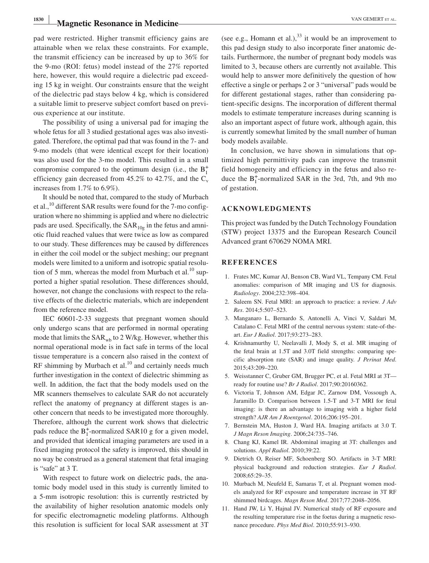# **Magnetic Resonance in Medicine Magnetic Resonance in Medicine**

pad were restricted. Higher transmit efficiency gains are attainable when we relax these constraints. For example, the transmit efficiency can be increased by up to 36% for the 9‐mo (ROI: fetus) model instead of the 27% reported here, however, this would require a dielectric pad exceeding 15 kg in weight. Our constraints ensure that the weight of the dielectric pad stays below 4 kg, which is considered a suitable limit to preserve subject comfort based on previous experience at our institute.

The possibility of using a universal pad for imaging the whole fetus for all 3 studied gestational ages was also investigated. Therefore, the optimal pad that was found in the 7‐ and 9‐mo models (that were identical except for their location) was also used for the 3‐mo model. This resulted in a small compromise compared to the optimum design (i.e., the  $B_1^+$ efficiency gain decreased from 45.2% to 42.7%, and the  $C_v$ increases from 1.7% to 6.9%).

It should be noted that, compared to the study of Murbach et al., $^{10}$  different SAR results were found for the 7-mo configuration where no shimming is applied and where no dielectric pads are used. Specifically, the  $SAR_{10g}$  in the fetus and amniotic fluid reached values that were twice as low as compared to our study. These differences may be caused by differences in either the coil model or the subject meshing; our pregnant models were limited to a uniform and isotropic spatial resolution of 5 mm, whereas the model from Murbach et al. $^{10}$  supported a higher spatial resolution. These differences should, however, not change the conclusions with respect to the relative effects of the dielectric materials, which are independent from the reference model.

IEC 60601‐2‐33 suggests that pregnant women should only undergo scans that are performed in normal operating mode that limits the  $SAR_{wb}$  to 2 W/kg. However, whether this normal operational mode is in fact safe in terms of the local tissue temperature is a concern also raised in the context of RF shimming by Murbach et al. $^{10}$  and certainly needs much further investigation in the context of dielectric shimming as well. In addition, the fact that the body models used on the MR scanners themselves to calculate SAR do not accurately reflect the anatomy of pregnancy at different stages is another concern that needs to be investigated more thoroughly. Therefore, although the current work shows that dielectric pads reduce the  $B_1^+$ -normalized SAR10 g for a given model, and provided that identical imaging parameters are used in a fixed imaging protocol the safety is improved, this should in no way be construed as a general statement that fetal imaging is "safe" at 3 T.

With respect to future work on dielectric pads, the anatomic body model used in this study is currently limited to a 5‐mm isotropic resolution: this is currently restricted by the availability of higher resolution anatomic models only for specific electromagnetic modeling platforms. Although this resolution is sufficient for local SAR assessment at 3T (see e.g., Homann et al.),  $33$  it would be an improvement to this pad design study to also incorporate finer anatomic details. Furthermore, the number of pregnant body models was limited to 3, because others are currently not available. This would help to answer more definitively the question of how effective a single or perhaps 2 or 3 "universal" pads would be for different gestational stages, rather than considering patient‐specific designs. The incorporation of different thermal models to estimate temperature increases during scanning is also an important aspect of future work, although again, this is currently somewhat limited by the small number of human body models available.

In conclusion, we have shown in simulations that optimized high permittivity pads can improve the transmit field homogeneity and efficiency in the fetus and also reduce the  $B_1^+$ -normalized SAR in the 3rd, 7th, and 9th mo of gestation.

### **ACKNOWLEDGMENTS**

This project was funded by the Dutch Technology Foundation (STW) project 13375 and the European Research Council Advanced grant 670629 NOMA MRI.

### **REFERENCES**

- 1. Frates MC, Kumar AJ, Benson CB, Ward VL, Tempany CM. Fetal anomalies: comparison of MR imaging and US for diagnosis. *Radiology*. 2004;232:398–404.
- 2. Saleem SN. Fetal MRI: an approach to practice: a review. *J Adv Res*. 2014;5:507–523.
- 3. Manganaro L, Bernardo S, Antonelli A, Vinci V, Saldari M, Catalano C. Fetal MRI of the central nervous system: state‐of‐the‐ art. *Eur J Radiol*. 2017;93:273–283.
- 4. Krishnamurthy U, Neelavalli J, Mody S, et al. MR imaging of the fetal brain at 1.5T and 3.0T field strengths: comparing specific absorption rate (SAR) and image quality. *J Perinat Med*. 2015;43:209–220.
- 5. Weisstanner C, Gruber GM, Brugger PC, et al. Fetal MRI at 3T ready for routine use? *Br J Radiol*. 2017;90:20160362.
- 6. Victoria T, Johnson AM, Edgar JC, Zarnow DM, Vossough A, Jaramillo D. Comparison between 1.5‐T and 3‐T MRI for fetal imaging: is there an advantage to imaging with a higher field strength? *AJR Am J Roentgenol*. 2016;206:195–201.
- 7. Bernstein MA, Huston J, Ward HA. Imaging artifacts at 3.0 T. *J Magn Reson Imaging*. 2006;24:735–746.
- 8. Chang KJ, Kamel IR. Abdominal imaging at 3T: challenges and solutions. *Appl Radiol*. 2010;39:22.
- 9. Dietrich O, Reiser MF, Schoenberg SO. Artifacts in 3‐T MRI: physical background and reduction strategies. *Eur J Radiol*. 2008;65:29–35.
- 10. Murbach M, Neufeld E, Samaras T, et al. Pregnant women models analyzed for RF exposure and temperature increase in 3T RF shimmed birdcages. *Magn Reson Med*. 2017;77:2048–2056.
- 11. Hand JW, Li Y, Hajnal JV. Numerical study of RF exposure and the resulting temperature rise in the foetus during a magnetic resonance procedure. *Phys Med Biol*. 2010;55:913–930.